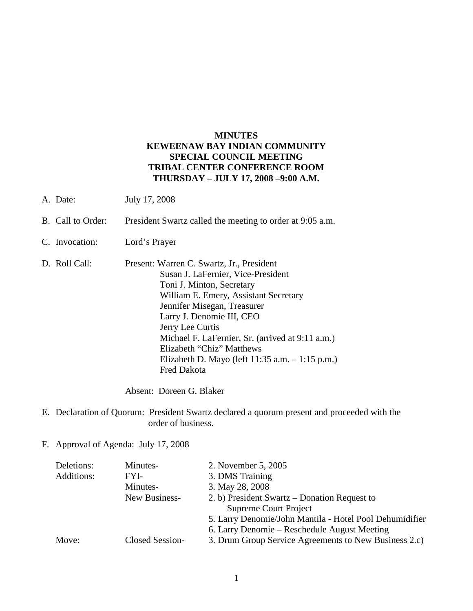# **MINUTES KEWEENAW BAY INDIAN COMMUNITY SPECIAL COUNCIL MEETING TRIBAL CENTER CONFERENCE ROOM THURSDAY – JULY 17, 2008 –9:00 A.M.**

- A. Date: July 17, 2008
- B. Call to Order: President Swartz called the meeting to order at 9:05 a.m.
- C. Invocation: Lord's Prayer
- D. Roll Call: Present: Warren C. Swartz, Jr., President Susan J. LaFernier, Vice-President Toni J. Minton, Secretary William E. Emery, Assistant Secretary Jennifer Misegan, Treasurer Larry J. Denomie III, CEO Jerry Lee Curtis Michael F. LaFernier, Sr. (arrived at 9:11 a.m.) Elizabeth "Chiz" Matthews Elizabeth D. Mayo (left 11:35 a.m. – 1:15 p.m.) Fred Dakota

Absent: Doreen G. Blaker

- E. Declaration of Quorum: President Swartz declared a quorum present and proceeded with the order of business.
- F. Approval of Agenda: July 17, 2008

| Deletions: | Minutes-        | 2. November 5, 2005                                     |
|------------|-----------------|---------------------------------------------------------|
| Additions: | FYI-            | 3. DMS Training                                         |
|            | Minutes-        | 3. May 28, 2008                                         |
|            | New Business-   | 2. b) President Swartz – Donation Request to            |
|            |                 | <b>Supreme Court Project</b>                            |
|            |                 | 5. Larry Denomie/John Mantila - Hotel Pool Dehumidifier |
|            |                 | 6. Larry Denomie – Reschedule August Meeting            |
| Move:      | Closed Session- | 3. Drum Group Service Agreements to New Business 2.c)   |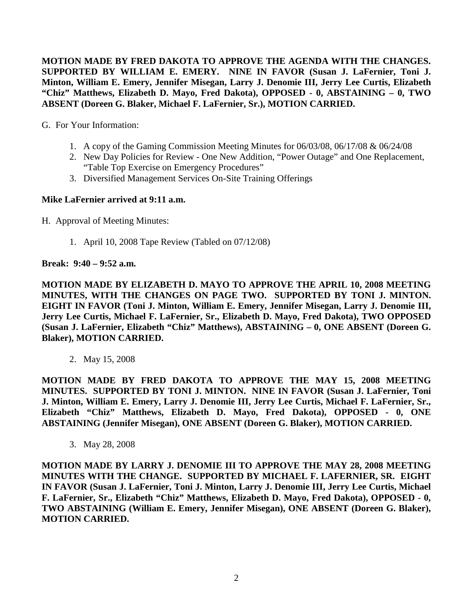**MOTION MADE BY FRED DAKOTA TO APPROVE THE AGENDA WITH THE CHANGES. SUPPORTED BY WILLIAM E. EMERY. NINE IN FAVOR (Susan J. LaFernier, Toni J. Minton, William E. Emery, Jennifer Misegan, Larry J. Denomie III, Jerry Lee Curtis, Elizabeth "Chiz" Matthews, Elizabeth D. Mayo, Fred Dakota), OPPOSED - 0, ABSTAINING – 0, TWO ABSENT (Doreen G. Blaker, Michael F. LaFernier, Sr.), MOTION CARRIED.**

G. For Your Information:

- 1. A copy of the Gaming Commission Meeting Minutes for 06/03/08, 06/17/08 & 06/24/08
- 2. New Day Policies for Review One New Addition, "Power Outage" and One Replacement, "Table Top Exercise on Emergency Procedures"
- 3. Diversified Management Services On-Site Training Offerings

# **Mike LaFernier arrived at 9:11 a.m.**

- H. Approval of Meeting Minutes:
	- 1. April 10, 2008 Tape Review (Tabled on 07/12/08)

# **Break: 9:40 – 9:52 a.m.**

**MOTION MADE BY ELIZABETH D. MAYO TO APPROVE THE APRIL 10, 2008 MEETING MINUTES, WITH THE CHANGES ON PAGE TWO. SUPPORTED BY TONI J. MINTON. EIGHT IN FAVOR (Toni J. Minton, William E. Emery, Jennifer Misegan, Larry J. Denomie III, Jerry Lee Curtis, Michael F. LaFernier, Sr., Elizabeth D. Mayo, Fred Dakota), TWO OPPOSED (Susan J. LaFernier, Elizabeth "Chiz" Matthews), ABSTAINING – 0, ONE ABSENT (Doreen G. Blaker), MOTION CARRIED.**

2. May 15, 2008

**MOTION MADE BY FRED DAKOTA TO APPROVE THE MAY 15, 2008 MEETING MINUTES. SUPPORTED BY TONI J. MINTON. NINE IN FAVOR (Susan J. LaFernier, Toni J. Minton, William E. Emery, Larry J. Denomie III, Jerry Lee Curtis, Michael F. LaFernier, Sr., Elizabeth "Chiz" Matthews, Elizabeth D. Mayo, Fred Dakota), OPPOSED - 0, ONE ABSTAINING (Jennifer Misegan), ONE ABSENT (Doreen G. Blaker), MOTION CARRIED.**

3. May 28, 2008

**MOTION MADE BY LARRY J. DENOMIE III TO APPROVE THE MAY 28, 2008 MEETING MINUTES WITH THE CHANGE. SUPPORTED BY MICHAEL F. LAFERNIER, SR. EIGHT IN FAVOR (Susan J. LaFernier, Toni J. Minton, Larry J. Denomie III, Jerry Lee Curtis, Michael F. LaFernier, Sr., Elizabeth "Chiz" Matthews, Elizabeth D. Mayo, Fred Dakota), OPPOSED - 0, TWO ABSTAINING (William E. Emery, Jennifer Misegan), ONE ABSENT (Doreen G. Blaker), MOTION CARRIED.**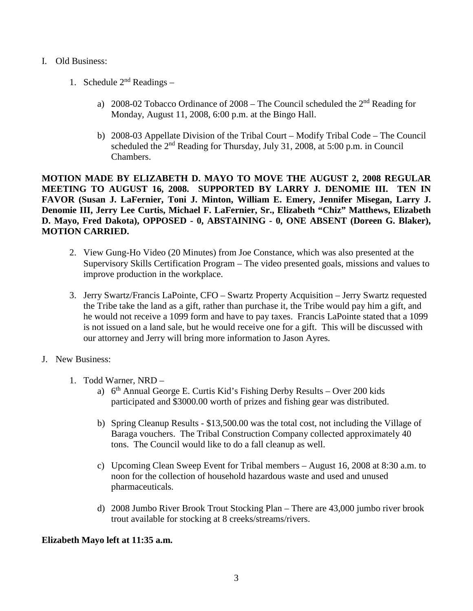### I. Old Business:

- 1. Schedule  $2<sup>nd</sup>$  Readings
	- a) 2008-02 Tobacco Ordinance of  $2008$  The Council scheduled the  $2<sup>nd</sup>$  Reading for Monday, August 11, 2008, 6:00 p.m. at the Bingo Hall.
	- b) 2008-03 Appellate Division of the Tribal Court Modify Tribal Code The Council scheduled the  $2<sup>nd</sup>$  Reading for Thursday, July 31, 2008, at 5:00 p.m. in Council Chambers.

**MOTION MADE BY ELIZABETH D. MAYO TO MOVE THE AUGUST 2, 2008 REGULAR MEETING TO AUGUST 16, 2008. SUPPORTED BY LARRY J. DENOMIE III. TEN IN FAVOR (Susan J. LaFernier, Toni J. Minton, William E. Emery, Jennifer Misegan, Larry J. Denomie III, Jerry Lee Curtis, Michael F. LaFernier, Sr., Elizabeth "Chiz" Matthews, Elizabeth D. Mayo, Fred Dakota), OPPOSED - 0, ABSTAINING - 0, ONE ABSENT (Doreen G. Blaker), MOTION CARRIED.**

- 2. View Gung-Ho Video (20 Minutes) from Joe Constance, which was also presented at the Supervisory Skills Certification Program – The video presented goals, missions and values to improve production in the workplace.
- 3. Jerry Swartz/Francis LaPointe, CFO Swartz Property Acquisition Jerry Swartz requested the Tribe take the land as a gift, rather than purchase it, the Tribe would pay him a gift, and he would not receive a 1099 form and have to pay taxes. Francis LaPointe stated that a 1099 is not issued on a land sale, but he would receive one for a gift. This will be discussed with our attorney and Jerry will bring more information to Jason Ayres.
- J. New Business:
	- 1. Todd Warner, NRD
		- a)  $6<sup>th</sup>$  Annual George E. Curtis Kid's Fishing Derby Results Over 200 kids participated and \$3000.00 worth of prizes and fishing gear was distributed.
		- b) Spring Cleanup Results \$13,500.00 was the total cost, not including the Village of Baraga vouchers. The Tribal Construction Company collected approximately 40 tons. The Council would like to do a fall cleanup as well.
		- c) Upcoming Clean Sweep Event for Tribal members August 16, 2008 at 8:30 a.m. to noon for the collection of household hazardous waste and used and unused pharmaceuticals.
		- d) 2008 Jumbo River Brook Trout Stocking Plan There are 43,000 jumbo river brook trout available for stocking at 8 creeks/streams/rivers.

### **Elizabeth Mayo left at 11:35 a.m.**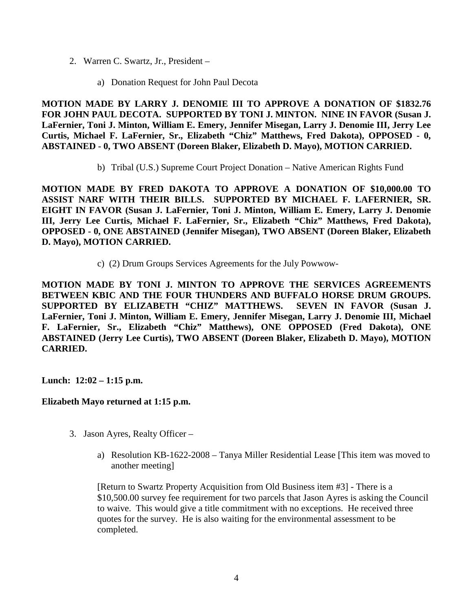- 2. Warren C. Swartz, Jr., President
	- a) Donation Request for John Paul Decota

**MOTION MADE BY LARRY J. DENOMIE III TO APPROVE A DONATION OF \$1832.76 FOR JOHN PAUL DECOTA. SUPPORTED BY TONI J. MINTON. NINE IN FAVOR (Susan J. LaFernier, Toni J. Minton, William E. Emery, Jennifer Misegan, Larry J. Denomie III, Jerry Lee Curtis, Michael F. LaFernier, Sr., Elizabeth "Chiz" Matthews, Fred Dakota), OPPOSED - 0, ABSTAINED - 0, TWO ABSENT (Doreen Blaker, Elizabeth D. Mayo), MOTION CARRIED.** 

b) Tribal (U.S.) Supreme Court Project Donation – Native American Rights Fund

**MOTION MADE BY FRED DAKOTA TO APPROVE A DONATION OF \$10,000.00 TO ASSIST NARF WITH THEIR BILLS. SUPPORTED BY MICHAEL F. LAFERNIER, SR. EIGHT IN FAVOR (Susan J. LaFernier, Toni J. Minton, William E. Emery, Larry J. Denomie III, Jerry Lee Curtis, Michael F. LaFernier, Sr., Elizabeth "Chiz" Matthews, Fred Dakota), OPPOSED - 0, ONE ABSTAINED (Jennifer Misegan), TWO ABSENT (Doreen Blaker, Elizabeth D. Mayo), MOTION CARRIED.** 

c) (2) Drum Groups Services Agreements for the July Powwow-

**MOTION MADE BY TONI J. MINTON TO APPROVE THE SERVICES AGREEMENTS BETWEEN KBIC AND THE FOUR THUNDERS AND BUFFALO HORSE DRUM GROUPS. SUPPORTED BY ELIZABETH "CHIZ" MATTHEWS. SEVEN IN FAVOR (Susan J. LaFernier, Toni J. Minton, William E. Emery, Jennifer Misegan, Larry J. Denomie III, Michael F. LaFernier, Sr., Elizabeth "Chiz" Matthews), ONE OPPOSED (Fred Dakota), ONE ABSTAINED (Jerry Lee Curtis), TWO ABSENT (Doreen Blaker, Elizabeth D. Mayo), MOTION CARRIED.** 

**Lunch: 12:02 – 1:15 p.m.**

**Elizabeth Mayo returned at 1:15 p.m.**

- 3. Jason Ayres, Realty Officer
	- a) Resolution KB-1622-2008 Tanya Miller Residential Lease [This item was moved to another meeting]

[Return to Swartz Property Acquisition from Old Business item #3] - There is a \$10,500.00 survey fee requirement for two parcels that Jason Ayres is asking the Council to waive. This would give a title commitment with no exceptions. He received three quotes for the survey. He is also waiting for the environmental assessment to be completed.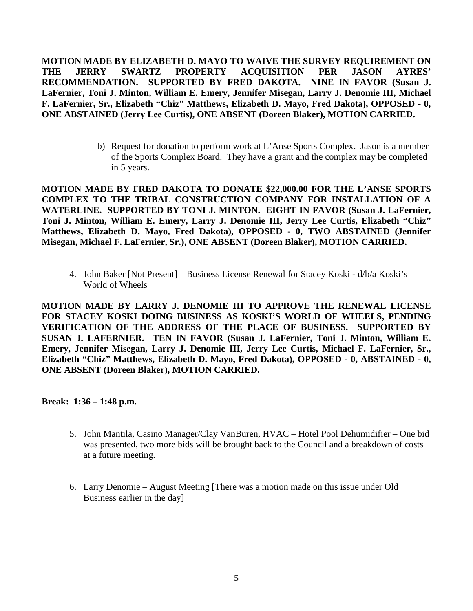**MOTION MADE BY ELIZABETH D. MAYO TO WAIVE THE SURVEY REQUIREMENT ON THE JERRY SWARTZ PROPERTY ACQUISITION PER JASON AYRES' RECOMMENDATION. SUPPORTED BY FRED DAKOTA. NINE IN FAVOR (Susan J. LaFernier, Toni J. Minton, William E. Emery, Jennifer Misegan, Larry J. Denomie III, Michael F. LaFernier, Sr., Elizabeth "Chiz" Matthews, Elizabeth D. Mayo, Fred Dakota), OPPOSED - 0, ONE ABSTAINED (Jerry Lee Curtis), ONE ABSENT (Doreen Blaker), MOTION CARRIED.** 

> b) Request for donation to perform work at L'Anse Sports Complex. Jason is a member of the Sports Complex Board. They have a grant and the complex may be completed in 5 years.

**MOTION MADE BY FRED DAKOTA TO DONATE \$22,000.00 FOR THE L'ANSE SPORTS COMPLEX TO THE TRIBAL CONSTRUCTION COMPANY FOR INSTALLATION OF A WATERLINE. SUPPORTED BY TONI J. MINTON. EIGHT IN FAVOR (Susan J. LaFernier, Toni J. Minton, William E. Emery, Larry J. Denomie III, Jerry Lee Curtis, Elizabeth "Chiz" Matthews, Elizabeth D. Mayo, Fred Dakota), OPPOSED - 0, TWO ABSTAINED (Jennifer Misegan, Michael F. LaFernier, Sr.), ONE ABSENT (Doreen Blaker), MOTION CARRIED.** 

4. John Baker [Not Present] – Business License Renewal for Stacey Koski - d/b/a Koski's World of Wheels

**MOTION MADE BY LARRY J. DENOMIE III TO APPROVE THE RENEWAL LICENSE FOR STACEY KOSKI DOING BUSINESS AS KOSKI'S WORLD OF WHEELS, PENDING VERIFICATION OF THE ADDRESS OF THE PLACE OF BUSINESS. SUPPORTED BY SUSAN J. LAFERNIER. TEN IN FAVOR (Susan J. LaFernier, Toni J. Minton, William E. Emery, Jennifer Misegan, Larry J. Denomie III, Jerry Lee Curtis, Michael F. LaFernier, Sr., Elizabeth "Chiz" Matthews, Elizabeth D. Mayo, Fred Dakota), OPPOSED - 0, ABSTAINED - 0, ONE ABSENT (Doreen Blaker), MOTION CARRIED.** 

**Break: 1:36 – 1:48 p.m.**

- 5. John Mantila, Casino Manager/Clay VanBuren, HVAC Hotel Pool Dehumidifier One bid was presented, two more bids will be brought back to the Council and a breakdown of costs at a future meeting.
- 6. Larry Denomie August Meeting [There was a motion made on this issue under Old Business earlier in the day]